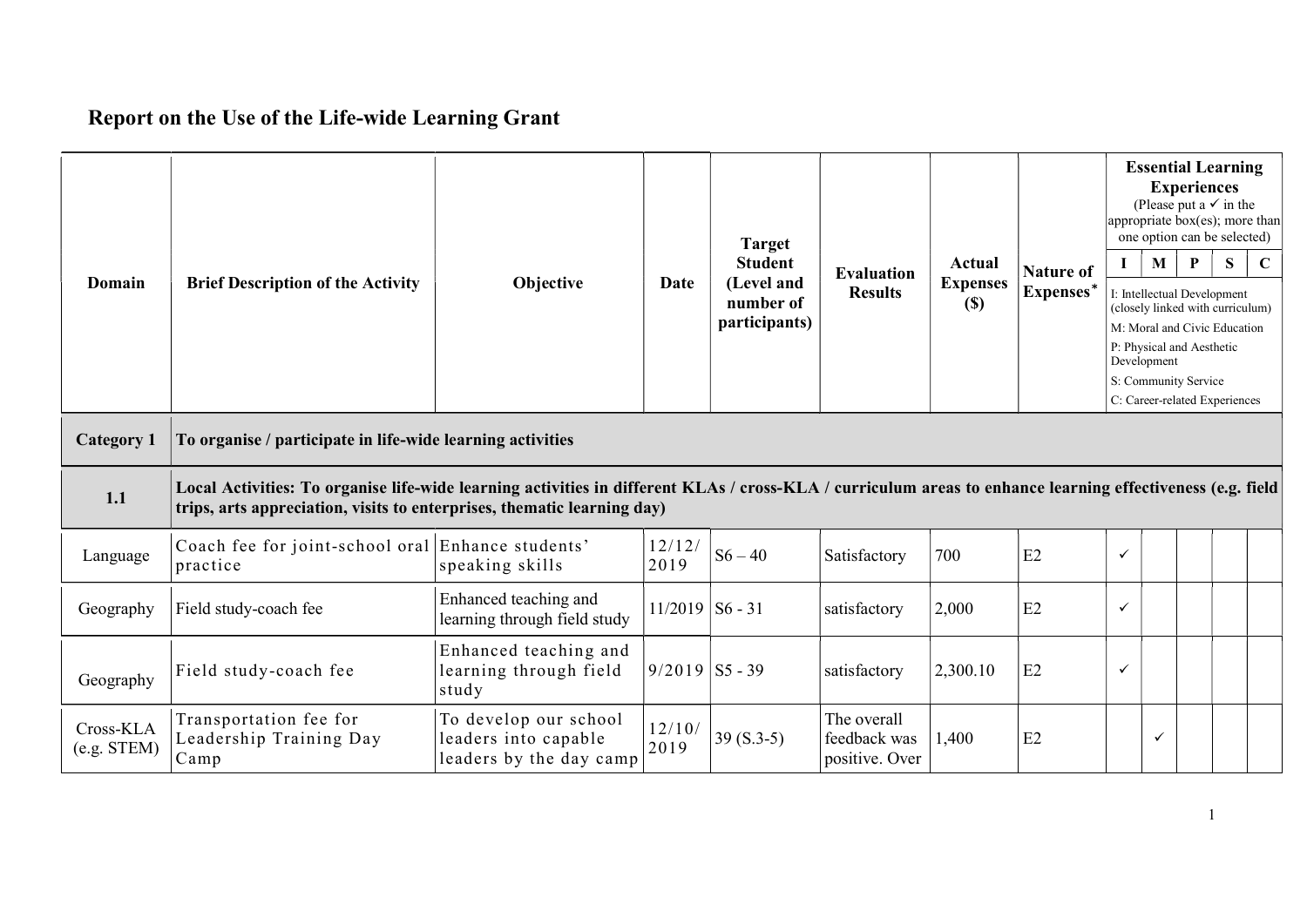## Report on the Use of the Life-wide Learning Grant

| Domain                        | <b>Brief Description of the Activity</b>                                                                                                                                                                                              | Objective                                                                | Date              | <b>Target</b><br><b>Student</b><br>(Level and<br>number of<br>participants) | <b>Evaluation</b><br><b>Results</b>           | Actual<br><b>Expenses</b><br>(S) | <b>Nature of</b><br>Expenses* | $\mathbf{I}$ | $\mathbf{M}$<br>Development | <b>Experiences</b><br>P<br>I: Intellectual Development<br>P: Physical and Aesthetic | <b>Essential Learning</b><br>(Please put a $\checkmark$ in the<br>appropriate box(es); more than<br>one option can be selected)<br>S<br>(closely linked with curriculum)<br>M: Moral and Civic Education | $\mathbf C$ |
|-------------------------------|---------------------------------------------------------------------------------------------------------------------------------------------------------------------------------------------------------------------------------------|--------------------------------------------------------------------------|-------------------|-----------------------------------------------------------------------------|-----------------------------------------------|----------------------------------|-------------------------------|--------------|-----------------------------|-------------------------------------------------------------------------------------|----------------------------------------------------------------------------------------------------------------------------------------------------------------------------------------------------------|-------------|
|                               |                                                                                                                                                                                                                                       |                                                                          |                   |                                                                             |                                               |                                  |                               |              |                             | S: Community Service                                                                | C: Career-related Experiences                                                                                                                                                                            |             |
| <b>Category 1</b>             | To organise / participate in life-wide learning activities                                                                                                                                                                            |                                                                          |                   |                                                                             |                                               |                                  |                               |              |                             |                                                                                     |                                                                                                                                                                                                          |             |
| 1.1                           | Local Activities: To organise life-wide learning activities in different KLAs / cross-KLA / curriculum areas to enhance learning effectiveness (e.g. field<br>trips, arts appreciation, visits to enterprises, thematic learning day) |                                                                          |                   |                                                                             |                                               |                                  |                               |              |                             |                                                                                     |                                                                                                                                                                                                          |             |
| Language                      | Coach fee for joint-school oral Enhance students'<br>practice                                                                                                                                                                         | speaking skills                                                          | 12/12/<br>2019    | $S6 - 40$                                                                   | Satisfactory                                  | 700                              | E2                            | $\checkmark$ |                             |                                                                                     |                                                                                                                                                                                                          |             |
| Geography                     | Field study-coach fee                                                                                                                                                                                                                 | Enhanced teaching and<br>learning through field study                    | $11/2019$ S6 - 31 |                                                                             | satisfactory                                  | 2,000                            | E2                            | $\checkmark$ |                             |                                                                                     |                                                                                                                                                                                                          |             |
| Geography                     | Field study-coach fee                                                                                                                                                                                                                 | Enhanced teaching and<br>learning through field<br>study                 | $9/2019$ S5 - 39  |                                                                             | satisfactory                                  | 2,300.10                         | E2                            | ✓            |                             |                                                                                     |                                                                                                                                                                                                          |             |
| Cross-KLA<br>$(e.g.$ STEM $)$ | Transportation fee for<br>Leadership Training Day<br>Camp                                                                                                                                                                             | To develop our school<br>leaders into capable<br>leaders by the day camp | 12/10/<br>2019    | $39(S.3-5)$                                                                 | The overall<br>feedback was<br>positive. Over | 1,400                            | E2                            |              | $\checkmark$                |                                                                                     |                                                                                                                                                                                                          |             |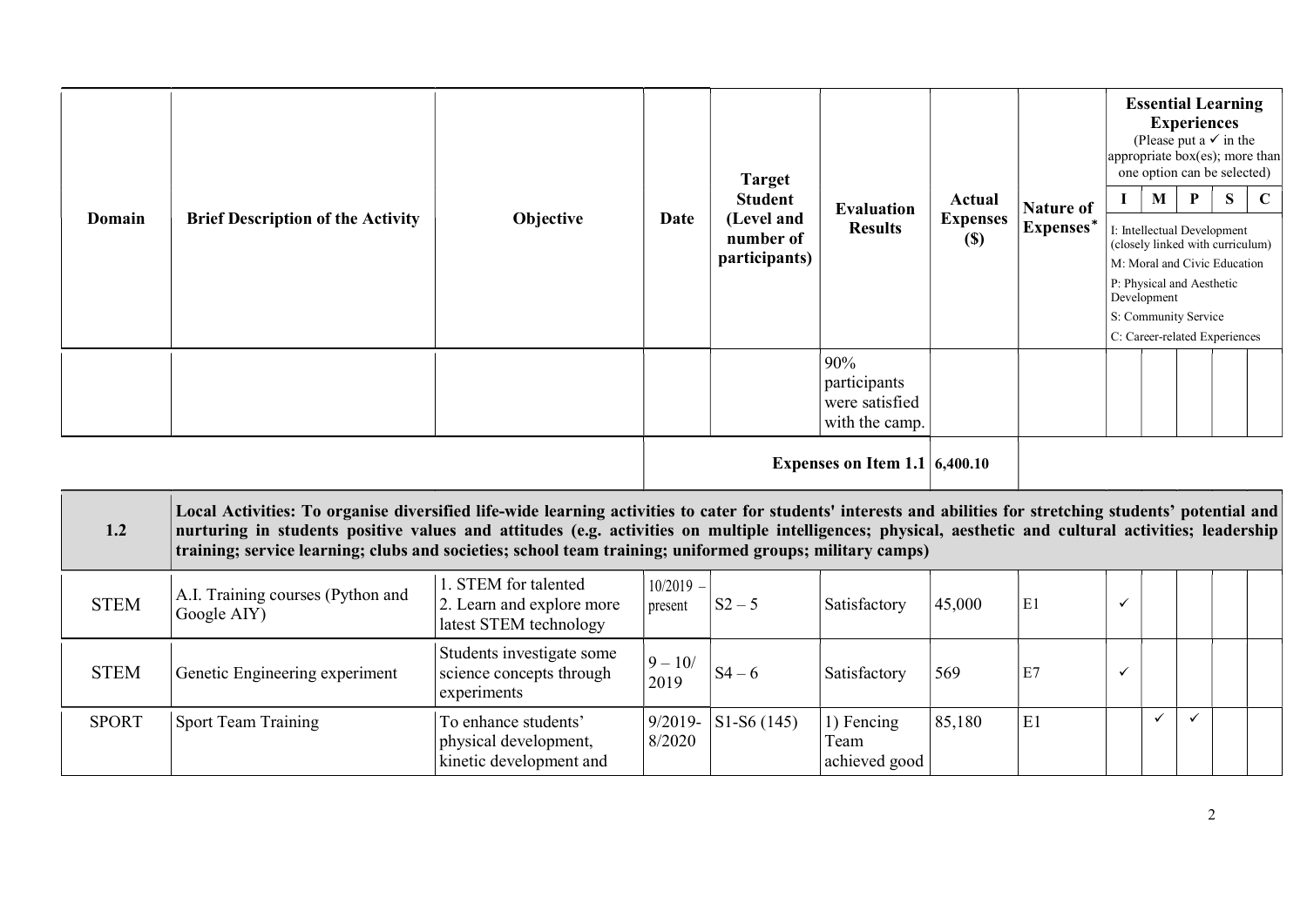| Domain | <b>Brief Description of the Activity</b>                                                                                                                                                                                                                                                                                                                                                                                             | Objective            | Date        | <b>Target</b><br><b>Student</b><br>(Level and<br>number of<br>participants) | <b>Evaluation</b><br><b>Results</b>                     | Actual<br><b>Expenses</b><br>$(\$)$ | <b>Nature of</b><br>Expenses* | M<br>Development | <b>Experiences</b><br>P<br>I: Intellectual Development<br>P: Physical and Aesthetic<br>S: Community Service | <b>Essential Learning</b><br>(Please put a $\checkmark$ in the<br>appropriate box(es); more than<br>one option can be selected)<br><sub>S</sub><br>(closely linked with curriculum)<br>M: Moral and Civic Education<br>C: Career-related Experiences | $\mathbf C$ |
|--------|--------------------------------------------------------------------------------------------------------------------------------------------------------------------------------------------------------------------------------------------------------------------------------------------------------------------------------------------------------------------------------------------------------------------------------------|----------------------|-------------|-----------------------------------------------------------------------------|---------------------------------------------------------|-------------------------------------|-------------------------------|------------------|-------------------------------------------------------------------------------------------------------------|------------------------------------------------------------------------------------------------------------------------------------------------------------------------------------------------------------------------------------------------------|-------------|
|        |                                                                                                                                                                                                                                                                                                                                                                                                                                      |                      |             |                                                                             | 90%<br>participants<br>were satisfied<br>with the camp. |                                     |                               |                  |                                                                                                             |                                                                                                                                                                                                                                                      |             |
|        |                                                                                                                                                                                                                                                                                                                                                                                                                                      |                      |             |                                                                             | Expenses on Item 1.1 $6,400.10$                         |                                     |                               |                  |                                                                                                             |                                                                                                                                                                                                                                                      |             |
| 1.2    | Local Activities: To organise diversified life-wide learning activities to cater for students' interests and abilities for stretching students' potential and<br>nurturing in students positive values and attitudes (e.g. activities on multiple intelligences; physical, aesthetic and cultural activities; leadership<br>training; service learning; clubs and societies; school team training; uniformed groups; military camps) |                      |             |                                                                             |                                                         |                                     |                               |                  |                                                                                                             |                                                                                                                                                                                                                                                      |             |
|        | A.I. Training courses (Python and                                                                                                                                                                                                                                                                                                                                                                                                    | 1. STEM for talented | $10/2019 -$ |                                                                             |                                                         |                                     |                               |                  |                                                                                                             |                                                                                                                                                                                                                                                      |             |

| <b>STEM</b>  | A.I. Training courses (Python and<br>Google AIY) | 1. STEM for talented<br>2. Learn and explore more<br>latest STEM technology | $10/2019 -$<br>present | $S2 - 5$               | Satisfactory                         | 45,000 | E1             |  |  |  |
|--------------|--------------------------------------------------|-----------------------------------------------------------------------------|------------------------|------------------------|--------------------------------------|--------|----------------|--|--|--|
| <b>STEM</b>  | Genetic Engineering experiment                   | Students investigate some<br>science concepts through<br>experiments        | $9 - 10/$<br>2019      | $S4 - 6$               | Satisfactory                         | 569    | E7             |  |  |  |
| <b>SPORT</b> | Sport Team Training                              | To enhance students'<br>physical development,<br>kinetic development and    | 8/2020                 | $9/2019 -$ S1-S6 (145) | 1) Fencing<br>l eam<br>achieved good | 85,180 | E <sub>1</sub> |  |  |  |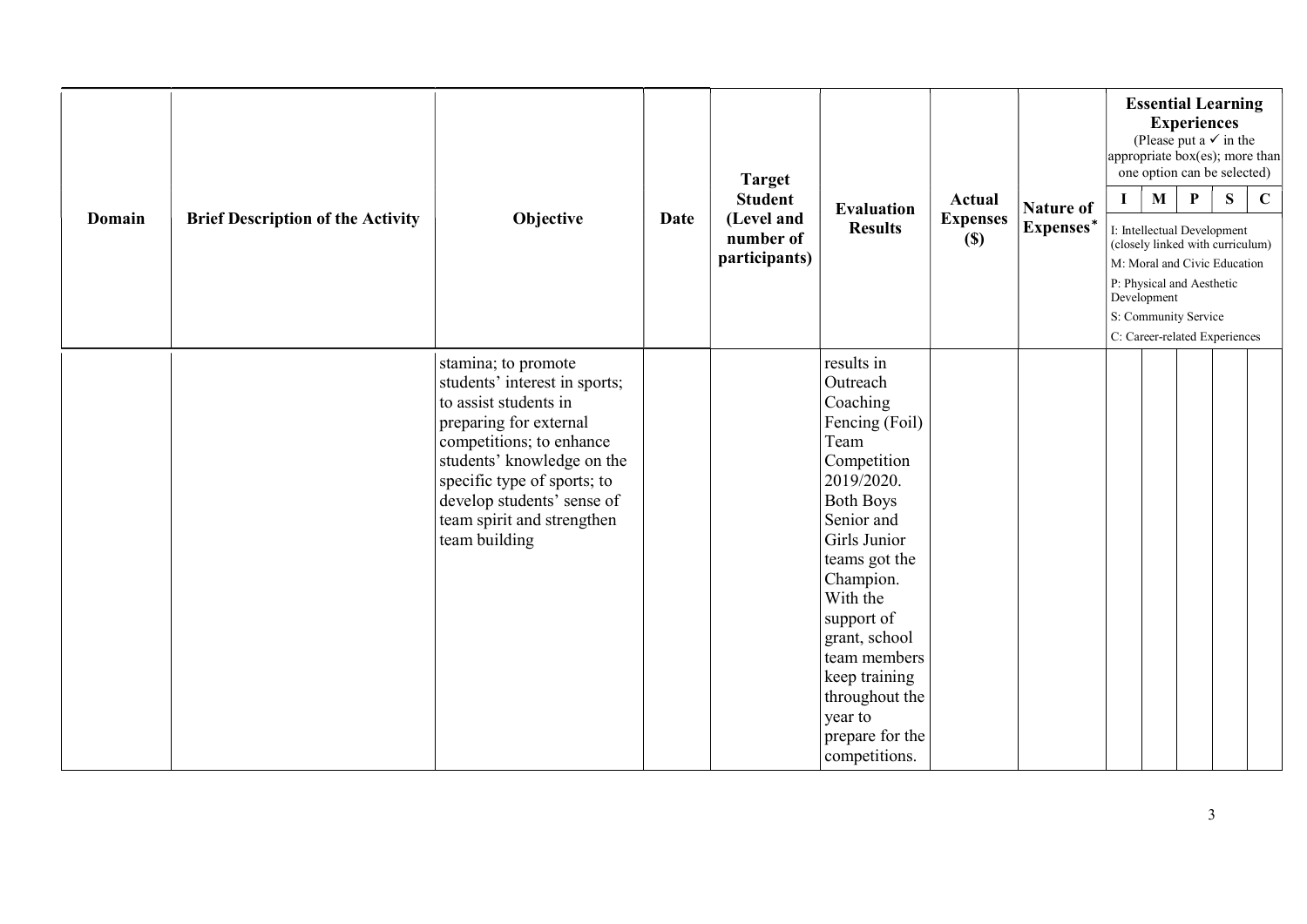| Domain | <b>Brief Description of the Activity</b> | Objective                                                                                                                                                                                                                                                                     | Date | <b>Target</b><br><b>Student</b><br>(Level and<br>number of<br>participants) | <b>Evaluation</b><br><b>Results</b>                                                                                                                                                                                                                                                                                    | Actual<br><b>Expenses</b><br>$(S)$ | <b>Nature of</b><br>Expenses* | $\mathbf{I}$ | $\mathbf{M}$<br>Development | <b>Essential Learning</b><br><b>Experiences</b><br>(Please put a $\checkmark$ in the<br>appropriate box(es); more than<br>one option can be selected)<br>$\mathbf{P}$<br>I: Intellectual Development<br>(closely linked with curriculum)<br>M: Moral and Civic Education<br>P: Physical and Aesthetic<br>S: Community Service<br>C: Career-related Experiences | S | $\mathbf C$ |
|--------|------------------------------------------|-------------------------------------------------------------------------------------------------------------------------------------------------------------------------------------------------------------------------------------------------------------------------------|------|-----------------------------------------------------------------------------|------------------------------------------------------------------------------------------------------------------------------------------------------------------------------------------------------------------------------------------------------------------------------------------------------------------------|------------------------------------|-------------------------------|--------------|-----------------------------|----------------------------------------------------------------------------------------------------------------------------------------------------------------------------------------------------------------------------------------------------------------------------------------------------------------------------------------------------------------|---|-------------|
|        |                                          | stamina; to promote<br>students' interest in sports;<br>to assist students in<br>preparing for external<br>competitions; to enhance<br>students' knowledge on the<br>specific type of sports; to<br>develop students' sense of<br>team spirit and strengthen<br>team building |      |                                                                             | results in<br>Outreach<br>Coaching<br>Fencing (Foil)<br>Team<br>Competition<br>2019/2020.<br><b>Both Boys</b><br>Senior and<br>Girls Junior<br>teams got the<br>Champion.<br>With the<br>support of<br>grant, school<br>team members<br>keep training<br>throughout the<br>year to<br>prepare for the<br>competitions. |                                    |                               |              |                             |                                                                                                                                                                                                                                                                                                                                                                |   |             |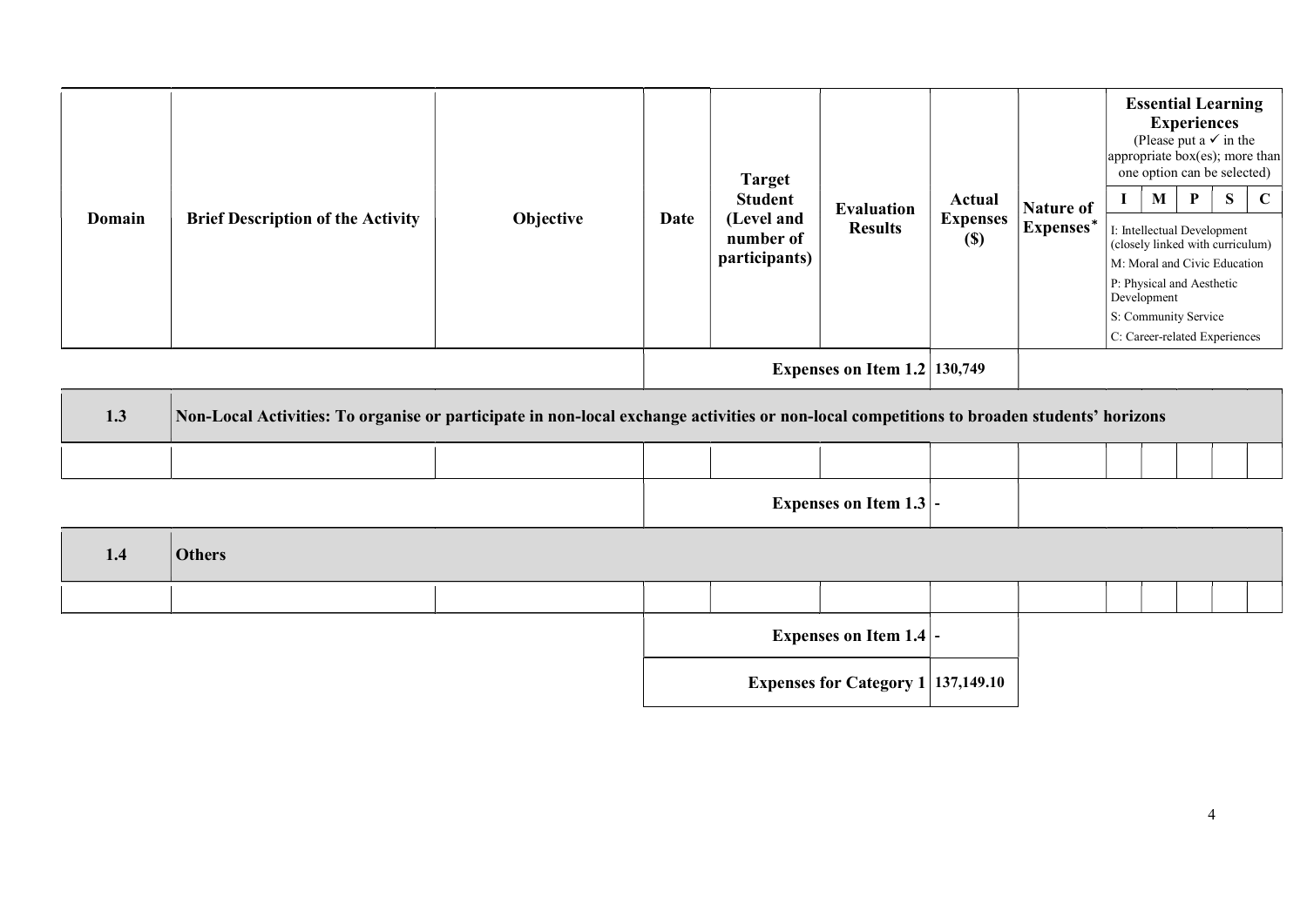|        | Objective<br><b>Brief Description of the Activity</b>                                                                                     |      | <b>Target</b><br><b>Student</b><br>(Level and |                                     |                                  | <b>Nature of</b><br>Expenses* | <b>Essential Learning</b><br><b>Experiences</b><br>(Please put a $\checkmark$ in the<br>$ $ appropriate box(es); more than<br>one option can be selected) |                                                                  |                                  |                               |             |  |
|--------|-------------------------------------------------------------------------------------------------------------------------------------------|------|-----------------------------------------------|-------------------------------------|----------------------------------|-------------------------------|-----------------------------------------------------------------------------------------------------------------------------------------------------------|------------------------------------------------------------------|----------------------------------|-------------------------------|-------------|--|
| Domain |                                                                                                                                           | Date |                                               | <b>Evaluation</b><br><b>Results</b> | Actual<br><b>Expenses</b>        |                               | $\mathbf{I}$                                                                                                                                              | M                                                                | P<br>I: Intellectual Development | S                             | $\mathbf C$ |  |
|        |                                                                                                                                           |      |                                               | number of<br>participants)          |                                  | $(\$)$                        |                                                                                                                                                           | (closely linked with curriculum)<br>M: Moral and Civic Education |                                  |                               |             |  |
|        |                                                                                                                                           |      |                                               |                                     |                                  |                               |                                                                                                                                                           | P: Physical and Aesthetic                                        |                                  |                               |             |  |
|        |                                                                                                                                           |      |                                               |                                     |                                  |                               |                                                                                                                                                           | Development<br>S: Community Service                              |                                  |                               |             |  |
|        |                                                                                                                                           |      |                                               |                                     |                                  |                               |                                                                                                                                                           |                                                                  |                                  | C: Career-related Experiences |             |  |
|        |                                                                                                                                           |      |                                               |                                     | Expenses on Item $1.2$   130,749 |                               |                                                                                                                                                           |                                                                  |                                  |                               |             |  |
| 1.3    | Non-Local Activities: To organise or participate in non-local exchange activities or non-local competitions to broaden students' horizons |      |                                               |                                     |                                  |                               |                                                                                                                                                           |                                                                  |                                  |                               |             |  |
|        |                                                                                                                                           |      |                                               |                                     |                                  |                               |                                                                                                                                                           |                                                                  |                                  |                               |             |  |
|        |                                                                                                                                           |      |                                               |                                     | Expenses on Item $1.3$ -         |                               |                                                                                                                                                           |                                                                  |                                  |                               |             |  |
| 1.4    | <b>Others</b>                                                                                                                             |      |                                               |                                     |                                  |                               |                                                                                                                                                           |                                                                  |                                  |                               |             |  |

Expenses on Item  $1.4$  -

Expenses for Category  $1\vert 137,149.10$